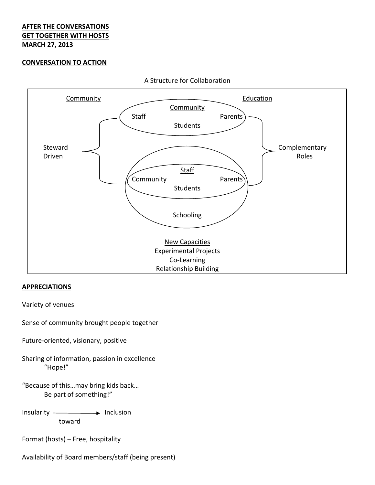# **AFTER THE CONVERSATIONS GET TOGETHER WITH HOSTS MARCH 27, 2013**

## **CONVERSATION TO ACTION**



A Structure for Collaboration

#### **APPRECIATIONS**

Variety of venues

Sense of community brought people together

Future‐oriented, visionary, positive

Sharing of information, passion in excellence "Hope!"

"Because of this…may bring kids back… Be part of something!"

Insularity ——————> Inclusion toward

Format (hosts) – Free, hospitality

Availability of Board members/staff (being present)